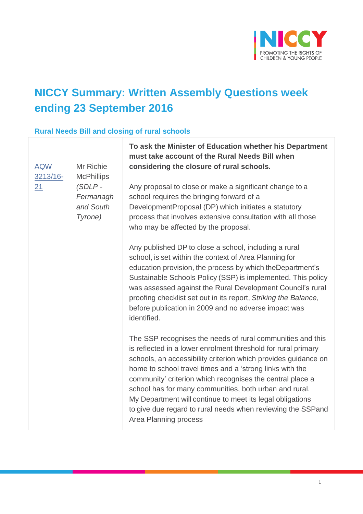

# **NICCY Summary: Written Assembly Questions week ending 23 September 2016**

### **Rural Needs Bill and closing of rural schools**

| Mr Richie<br><b>AQW</b><br>3213/16-<br><b>McPhillips</b><br>$(SDLP -$<br>21<br>Fermanagh<br>and South<br>Tyrone) | To ask the Minister of Education whether his Department<br>must take account of the Rural Needs Bill when<br>considering the closure of rural schools.<br>Any proposal to close or make a significant change to a<br>school requires the bringing forward of a<br>DevelopmentProposal (DP) which initiates a statutory<br>process that involves extensive consultation with all those<br>who may be affected by the proposal.                                                                                                         |
|------------------------------------------------------------------------------------------------------------------|---------------------------------------------------------------------------------------------------------------------------------------------------------------------------------------------------------------------------------------------------------------------------------------------------------------------------------------------------------------------------------------------------------------------------------------------------------------------------------------------------------------------------------------|
|                                                                                                                  | Any published DP to close a school, including a rural<br>school, is set within the context of Area Planning for<br>education provision, the process by which the Department's<br>Sustainable Schools Policy (SSP) is implemented. This policy<br>was assessed against the Rural Development Council's rural<br>proofing checklist set out in its report, Striking the Balance,<br>before publication in 2009 and no adverse impact was<br>identified.                                                                                 |
|                                                                                                                  | The SSP recognises the needs of rural communities and this<br>is reflected in a lower enrolment threshold for rural primary<br>schools, an accessibility criterion which provides guidance on<br>home to school travel times and a 'strong links with the<br>community' criterion which recognises the central place a<br>school has for many communities, both urban and rural.<br>My Department will continue to meet its legal obligations<br>to give due regard to rural needs when reviewing the SSPand<br>Area Planning process |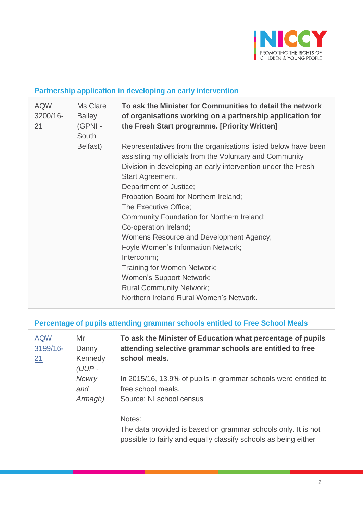

### **Partnership application in developing an early intervention**

| <b>AQW</b><br>3200/16-<br>21 | Ms Clare<br><b>Bailey</b><br>(GPNI-<br>South | To ask the Minister for Communities to detail the network<br>of organisations working on a partnership application for<br>the Fresh Start programme. [Priority Written]                                                                                                                                                                                                                                                                                                                                                                                                                                                 |
|------------------------------|----------------------------------------------|-------------------------------------------------------------------------------------------------------------------------------------------------------------------------------------------------------------------------------------------------------------------------------------------------------------------------------------------------------------------------------------------------------------------------------------------------------------------------------------------------------------------------------------------------------------------------------------------------------------------------|
|                              | Belfast)                                     | Representatives from the organisations listed below have been<br>assisting my officials from the Voluntary and Community<br>Division in developing an early intervention under the Fresh<br>Start Agreement.<br>Department of Justice;<br>Probation Board for Northern Ireland;<br>The Executive Office;<br>Community Foundation for Northern Ireland;<br>Co-operation Ireland;<br>Womens Resource and Development Agency;<br>Foyle Women's Information Network;<br>Intercomm;<br>Training for Women Network;<br>Women's Support Network;<br><b>Rural Community Network;</b><br>Northern Ireland Rural Women's Network. |

#### **Percentage of pupils attending grammar schools entitled to Free School Meals**

| <b>AQW</b><br>3199/16-<br>21 | Mr<br>Danny<br>Kennedy<br>$(UUP -$ | To ask the Minister of Education what percentage of pupils<br>attending selective grammar schools are entitled to free<br>school meals.    |  |
|------------------------------|------------------------------------|--------------------------------------------------------------------------------------------------------------------------------------------|--|
|                              | <b>Newry</b><br>and<br>Armagh)     | In 2015/16, 13.9% of pupils in grammar schools were entitled to<br>free school meals.<br>Source: NI school census                          |  |
|                              |                                    | Notes:<br>The data provided is based on grammar schools only. It is not<br>possible to fairly and equally classify schools as being either |  |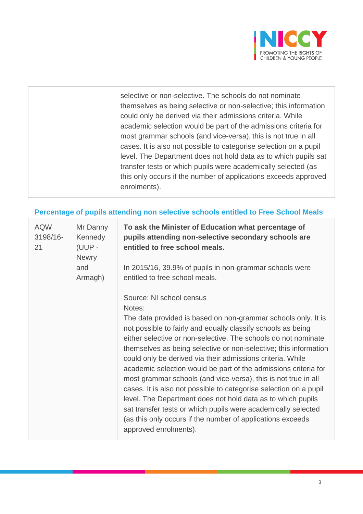

| selective or non-selective. The schools do not nominate<br>themselves as being selective or non-selective; this information<br>could only be derived via their admissions criteria. While<br>academic selection would be part of the admissions criteria for<br>most grammar schools (and vice-versa), this is not true in all<br>cases. It is also not possible to categorise selection on a pupil<br>level. The Department does not hold data as to which pupils sat<br>transfer tests or which pupils were academically selected (as<br>this only occurs if the number of applications exceeds approved<br>enrolments). |
|----------------------------------------------------------------------------------------------------------------------------------------------------------------------------------------------------------------------------------------------------------------------------------------------------------------------------------------------------------------------------------------------------------------------------------------------------------------------------------------------------------------------------------------------------------------------------------------------------------------------------|
|                                                                                                                                                                                                                                                                                                                                                                                                                                                                                                                                                                                                                            |

# **Percentage of pupils attending non selective schools entitled to Free School Meals**

| <b>AQW</b><br>3198/16-<br>21 | Mr Danny<br>Kennedy<br>(UUP -<br><b>Newry</b> | To ask the Minister of Education what percentage of<br>pupils attending non-selective secondary schools are<br>entitled to free school meals.                                                                                                                                                                                                                                                                                                                                                                                                                                                                                                                                                                                                                      |
|------------------------------|-----------------------------------------------|--------------------------------------------------------------------------------------------------------------------------------------------------------------------------------------------------------------------------------------------------------------------------------------------------------------------------------------------------------------------------------------------------------------------------------------------------------------------------------------------------------------------------------------------------------------------------------------------------------------------------------------------------------------------------------------------------------------------------------------------------------------------|
| and                          | Armagh)                                       | In 2015/16, 39.9% of pupils in non-grammar schools were<br>entitled to free school meals.                                                                                                                                                                                                                                                                                                                                                                                                                                                                                                                                                                                                                                                                          |
|                              |                                               | Source: NI school census<br>Notes:                                                                                                                                                                                                                                                                                                                                                                                                                                                                                                                                                                                                                                                                                                                                 |
|                              |                                               | The data provided is based on non-grammar schools only. It is<br>not possible to fairly and equally classify schools as being<br>either selective or non-selective. The schools do not nominate<br>themselves as being selective or non-selective; this information<br>could only be derived via their admissions criteria. While<br>academic selection would be part of the admissions criteria for<br>most grammar schools (and vice-versa), this is not true in all<br>cases. It is also not possible to categorise selection on a pupil<br>level. The Department does not hold data as to which pupils<br>sat transfer tests or which pupils were academically selected<br>(as this only occurs if the number of applications exceeds<br>approved enrolments). |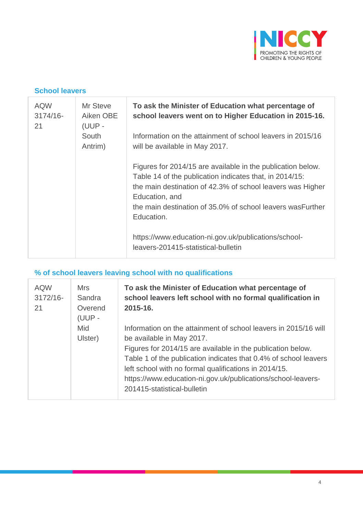

#### **School leavers**

| <b>AQW</b><br>$3174/16 -$<br>21 | Mr Steve<br>Aiken OBE<br>(UUP - | To ask the Minister of Education what percentage of<br>school leavers went on to Higher Education in 2015-16.                                                                                                                                                                       |
|---------------------------------|---------------------------------|-------------------------------------------------------------------------------------------------------------------------------------------------------------------------------------------------------------------------------------------------------------------------------------|
|                                 | South<br>Antrim)                | Information on the attainment of school leavers in 2015/16<br>will be available in May 2017.                                                                                                                                                                                        |
|                                 |                                 | Figures for 2014/15 are available in the publication below.<br>Table 14 of the publication indicates that, in 2014/15:<br>the main destination of 42.3% of school leavers was Higher<br>Education, and<br>the main destination of 35.0% of school leavers was Further<br>Education. |
|                                 |                                 | https://www.education-ni.gov.uk/publications/school-<br>leavers-201415-statistical-bulletin                                                                                                                                                                                         |

# **% of school leavers leaving school with no qualifications**

| <b>AQW</b><br>$3172/16 -$<br>21 | <b>Mrs</b><br>Sandra<br>Overend<br>(UUP - | To ask the Minister of Education what percentage of<br>school leavers left school with no formal qualification in<br>2015-16.                                                                                                                                                                                                                                                           |  |
|---------------------------------|-------------------------------------------|-----------------------------------------------------------------------------------------------------------------------------------------------------------------------------------------------------------------------------------------------------------------------------------------------------------------------------------------------------------------------------------------|--|
|                                 | Mid<br>Ulster)                            | Information on the attainment of school leavers in 2015/16 will<br>be available in May 2017.<br>Figures for 2014/15 are available in the publication below.<br>Table 1 of the publication indicates that 0.4% of school leavers<br>left school with no formal qualifications in 2014/15.<br>https://www.education-ni.gov.uk/publications/school-leavers-<br>201415-statistical-bulletin |  |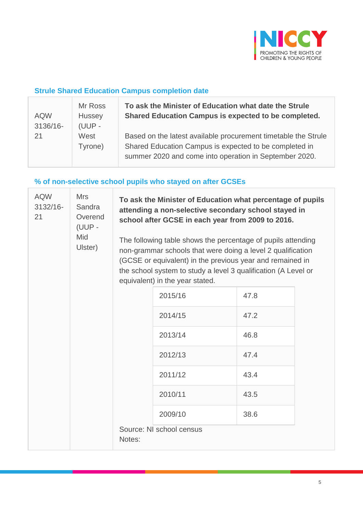

### **Strule Shared Education Campus completion date**

| <b>AQW</b><br>3136/16- | Mr Ross<br>Hussey<br>$(UUP -$ | To ask the Minister of Education what date the Strule<br>Shared Education Campus is expected to be completed.                                                                      |
|------------------------|-------------------------------|------------------------------------------------------------------------------------------------------------------------------------------------------------------------------------|
| 21                     | West<br>Tyrone)               | Based on the latest available procurement timetable the Strule<br>Shared Education Campus is expected to be completed in<br>summer 2020 and come into operation in September 2020. |

# **% of non-selective school pupils who stayed on after GCSEs**

| <b>AQW</b><br><b>Mrs</b><br>3132/16-<br>Sandra<br>21<br>Overend<br>(UUP -<br>Mid<br>Ulster) |  | To ask the Minister of Education what percentage of pupils<br>attending a non-selective secondary school stayed in<br>school after GCSE in each year from 2009 to 2016.                                                                                                                       |                          |      |  |
|---------------------------------------------------------------------------------------------|--|-----------------------------------------------------------------------------------------------------------------------------------------------------------------------------------------------------------------------------------------------------------------------------------------------|--------------------------|------|--|
|                                                                                             |  | The following table shows the percentage of pupils attending<br>non-grammar schools that were doing a level 2 qualification<br>(GCSE or equivalent) in the previous year and remained in<br>the school system to study a level 3 qualification (A Level or<br>equivalent) in the year stated. |                          |      |  |
|                                                                                             |  |                                                                                                                                                                                                                                                                                               | 2015/16                  | 47.8 |  |
|                                                                                             |  |                                                                                                                                                                                                                                                                                               | 2014/15                  | 47.2 |  |
|                                                                                             |  |                                                                                                                                                                                                                                                                                               | 2013/14                  | 46.8 |  |
|                                                                                             |  |                                                                                                                                                                                                                                                                                               | 2012/13                  | 47.4 |  |
|                                                                                             |  |                                                                                                                                                                                                                                                                                               | 2011/12                  | 43.4 |  |
|                                                                                             |  |                                                                                                                                                                                                                                                                                               | 2010/11                  | 43.5 |  |
|                                                                                             |  |                                                                                                                                                                                                                                                                                               | 2009/10                  | 38.6 |  |
|                                                                                             |  | Notes:                                                                                                                                                                                                                                                                                        | Source: NI school census |      |  |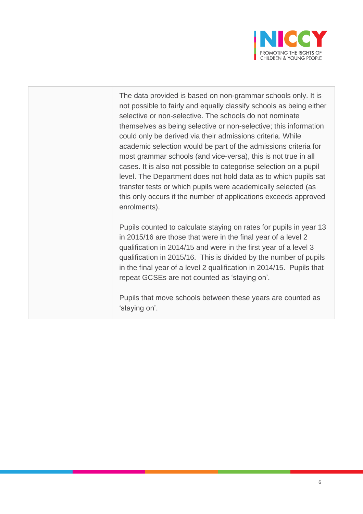

The data provided is based on non-grammar schools only. It is not possible to fairly and equally classify schools as being either selective or non-selective. The schools do not nominate themselves as being selective or non-selective; this information could only be derived via their admissions criteria. While academic selection would be part of the admissions criteria for most grammar schools (and vice-versa), this is not true in all cases. It is also not possible to categorise selection on a pupil level. The Department does not hold data as to which pupils sat transfer tests or which pupils were academically selected (as this only occurs if the number of applications exceeds approved enrolments).

Pupils counted to calculate staying on rates for pupils in year 13 in 2015/16 are those that were in the final year of a level 2 qualification in 2014/15 and were in the first year of a level 3 qualification in 2015/16. This is divided by the number of pupils in the final year of a level 2 qualification in 2014/15. Pupils that repeat GCSEs are not counted as 'staying on'.

Pupils that move schools between these years are counted as 'staying on'.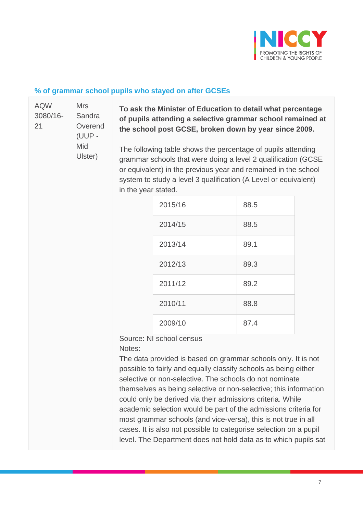

# **% of grammar school pupils who stayed on after GCSEs**

| <b>AQW</b><br>3080/16-<br>21 | <b>Mrs</b><br>Sandra<br>Overend<br>(UUP -<br>Mid<br>Ulster) | To ask the Minister of Education to detail what percentage<br>of pupils attending a selective grammar school remained at<br>the school post GCSE, broken down by year since 2009.                                                                                                         |                                                                                                                                                                                                                                                                                                                                                                                                                                                                                                                                                                                                                                        |      |  |
|------------------------------|-------------------------------------------------------------|-------------------------------------------------------------------------------------------------------------------------------------------------------------------------------------------------------------------------------------------------------------------------------------------|----------------------------------------------------------------------------------------------------------------------------------------------------------------------------------------------------------------------------------------------------------------------------------------------------------------------------------------------------------------------------------------------------------------------------------------------------------------------------------------------------------------------------------------------------------------------------------------------------------------------------------------|------|--|
|                              |                                                             | The following table shows the percentage of pupils attending<br>grammar schools that were doing a level 2 qualification (GCSE<br>or equivalent) in the previous year and remained in the school<br>system to study a level 3 qualification (A Level or equivalent)<br>in the year stated. |                                                                                                                                                                                                                                                                                                                                                                                                                                                                                                                                                                                                                                        |      |  |
|                              |                                                             |                                                                                                                                                                                                                                                                                           | 2015/16                                                                                                                                                                                                                                                                                                                                                                                                                                                                                                                                                                                                                                | 88.5 |  |
|                              |                                                             |                                                                                                                                                                                                                                                                                           | 2014/15                                                                                                                                                                                                                                                                                                                                                                                                                                                                                                                                                                                                                                | 88.5 |  |
|                              |                                                             |                                                                                                                                                                                                                                                                                           | 2013/14                                                                                                                                                                                                                                                                                                                                                                                                                                                                                                                                                                                                                                | 89.1 |  |
|                              |                                                             |                                                                                                                                                                                                                                                                                           | 2012/13                                                                                                                                                                                                                                                                                                                                                                                                                                                                                                                                                                                                                                | 89.3 |  |
|                              |                                                             |                                                                                                                                                                                                                                                                                           | 2011/12                                                                                                                                                                                                                                                                                                                                                                                                                                                                                                                                                                                                                                | 89.2 |  |
|                              |                                                             |                                                                                                                                                                                                                                                                                           | 2010/11                                                                                                                                                                                                                                                                                                                                                                                                                                                                                                                                                                                                                                | 88.8 |  |
|                              |                                                             |                                                                                                                                                                                                                                                                                           | 2009/10                                                                                                                                                                                                                                                                                                                                                                                                                                                                                                                                                                                                                                | 87.4 |  |
|                              |                                                             | Notes:                                                                                                                                                                                                                                                                                    | Source: NI school census<br>The data provided is based on grammar schools only. It is not<br>possible to fairly and equally classify schools as being either<br>selective or non-selective. The schools do not nominate<br>themselves as being selective or non-selective; this information<br>could only be derived via their admissions criteria. While<br>academic selection would be part of the admissions criteria for<br>most grammar schools (and vice-versa), this is not true in all<br>cases. It is also not possible to categorise selection on a pupil<br>level. The Department does not hold data as to which pupils sat |      |  |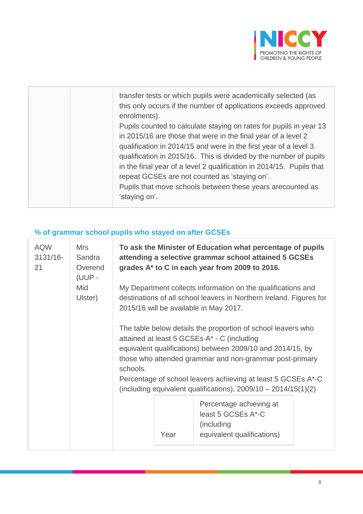

# **% of grammar school pupils who stayed on after GCSEs**

| <b>AQW</b><br>$3131/16 -$<br>21 | <b>Mrs</b><br>Sandra<br>Overend<br>(UUP - | To ask the Minister of Education what percentage of pupils<br>attending a selective grammar school attained 5 GCSEs<br>grades A* to C in each year from 2009 to 2016.                                                                                                                                            |  |  |  |
|---------------------------------|-------------------------------------------|------------------------------------------------------------------------------------------------------------------------------------------------------------------------------------------------------------------------------------------------------------------------------------------------------------------|--|--|--|
|                                 | Mid<br>Ulster)                            | My Department collects information on the qualifications and<br>destinations of all school leavers in Northern Ireland. Figures for<br>2015/16 will be available in May 2017.                                                                                                                                    |  |  |  |
|                                 |                                           | The table below details the proportion of school leavers who<br>attained at least 5 GCSEs A* - C (including<br>equivalent qualifications) between 2009/10 and 2014/15, by<br>those who attended grammar and non-grammar post-primary<br>schools.<br>Percentage of school leavers achieving at least 5 GCSEs A*-C |  |  |  |
|                                 |                                           | (including equivalent qualifications), $2009/10 - 2014/15(1)(2)$                                                                                                                                                                                                                                                 |  |  |  |
|                                 |                                           | Percentage achieving at<br>least 5 GCSEs A*-C<br>(including                                                                                                                                                                                                                                                      |  |  |  |
|                                 |                                           | Year<br>equivalent qualifications)                                                                                                                                                                                                                                                                               |  |  |  |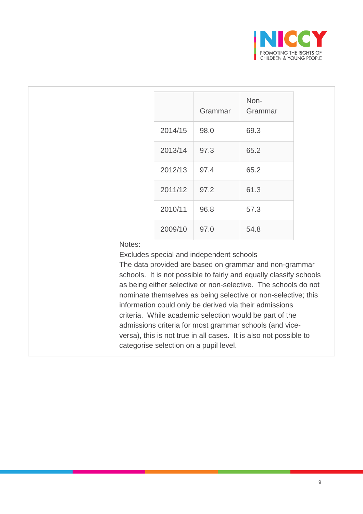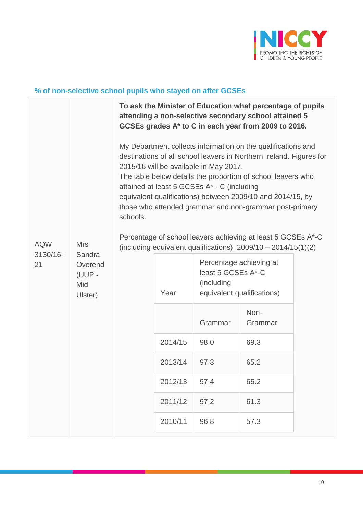

# **% of non-selective school pupils who stayed on after GCSEs**

|                              |                                                             |                                                                                                                                                                                                                                                                                                                                                                                                                                                                                                                                                                       |         |                                                                                           | To ask the Minister of Education what percentage of pupils<br>attending a non-selective secondary school attained 5<br>GCSEs grades A* to C in each year from 2009 to 2016. |  |
|------------------------------|-------------------------------------------------------------|-----------------------------------------------------------------------------------------------------------------------------------------------------------------------------------------------------------------------------------------------------------------------------------------------------------------------------------------------------------------------------------------------------------------------------------------------------------------------------------------------------------------------------------------------------------------------|---------|-------------------------------------------------------------------------------------------|-----------------------------------------------------------------------------------------------------------------------------------------------------------------------------|--|
| <b>AQW</b><br>3130/16-<br>21 | <b>Mrs</b><br>Sandra<br>Overend<br>(UUP -<br>Mid<br>Ulster) | My Department collects information on the qualifications and<br>destinations of all school leavers in Northern Ireland. Figures for<br>2015/16 will be available in May 2017.<br>The table below details the proportion of school leavers who<br>attained at least 5 GCSEs A* - C (including<br>equivalent qualifications) between 2009/10 and 2014/15, by<br>those who attended grammar and non-grammar post-primary<br>schools.<br>Percentage of school leavers achieving at least 5 GCSEs A*-C<br>(including equivalent qualifications), $2009/10 - 2014/15(1)(2)$ |         |                                                                                           |                                                                                                                                                                             |  |
|                              |                                                             |                                                                                                                                                                                                                                                                                                                                                                                                                                                                                                                                                                       | Year    | Percentage achieving at<br>least 5 GCSEs A*-C<br>(including<br>equivalent qualifications) |                                                                                                                                                                             |  |
|                              |                                                             |                                                                                                                                                                                                                                                                                                                                                                                                                                                                                                                                                                       |         | Grammar                                                                                   | Non-<br>Grammar                                                                                                                                                             |  |
|                              |                                                             |                                                                                                                                                                                                                                                                                                                                                                                                                                                                                                                                                                       | 2014/15 | 98.0                                                                                      | 69.3                                                                                                                                                                        |  |
|                              |                                                             |                                                                                                                                                                                                                                                                                                                                                                                                                                                                                                                                                                       | 2013/14 | 97.3                                                                                      | 65.2                                                                                                                                                                        |  |
|                              |                                                             |                                                                                                                                                                                                                                                                                                                                                                                                                                                                                                                                                                       | 2012/13 | 97.4                                                                                      | 65.2                                                                                                                                                                        |  |
|                              |                                                             |                                                                                                                                                                                                                                                                                                                                                                                                                                                                                                                                                                       | 2011/12 | 97.2                                                                                      | 61.3                                                                                                                                                                        |  |
|                              |                                                             |                                                                                                                                                                                                                                                                                                                                                                                                                                                                                                                                                                       | 2010/11 | 96.8                                                                                      | 57.3                                                                                                                                                                        |  |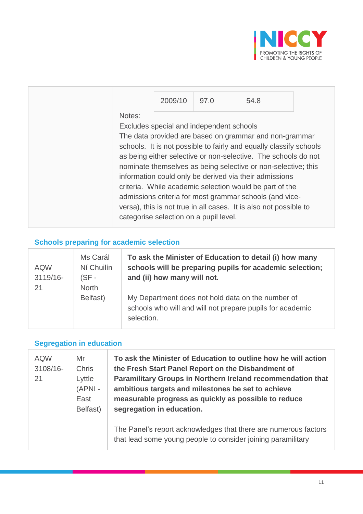

|        | 2009/10 | 97.0                                                                               | 54.8                                                                                                                                                                                                                                                                                                                                                                                                                                                                                                                 |  |
|--------|---------|------------------------------------------------------------------------------------|----------------------------------------------------------------------------------------------------------------------------------------------------------------------------------------------------------------------------------------------------------------------------------------------------------------------------------------------------------------------------------------------------------------------------------------------------------------------------------------------------------------------|--|
| Notes: |         | Excludes special and independent schools<br>categorise selection on a pupil level. | The data provided are based on grammar and non-grammar<br>schools. It is not possible to fairly and equally classify schools<br>as being either selective or non-selective. The schools do not<br>nominate themselves as being selective or non-selective; this<br>information could only be derived via their admissions<br>criteria. While academic selection would be part of the<br>admissions criteria for most grammar schools (and vice-<br>versa), this is not true in all cases. It is also not possible to |  |

# **Schools preparing for academic selection**

| <b>AQW</b><br>3119/16-<br>21 | Ms Carál<br>Ní Chuilín<br>$(SF -$<br><b>North</b> | To ask the Minister of Education to detail (i) how many<br>schools will be preparing pupils for academic selection;<br>and (ii) how many will not. |
|------------------------------|---------------------------------------------------|----------------------------------------------------------------------------------------------------------------------------------------------------|
|                              | Belfast)                                          | My Department does not hold data on the number of<br>schools who will and will not prepare pupils for academic<br>selection.                       |

### **Segregation in education**

| <b>AQW</b><br>3108/16-<br>21 | Mr<br><b>Chris</b><br>Lyttle<br>$(APNI -$<br>East<br>Belfast) | To ask the Minister of Education to outline how he will action<br>the Fresh Start Panel Report on the Disbandment of<br>Paramilitary Groups in Northern Ireland recommendation that<br>ambitious targets and milestones be set to achieve<br>measurable progress as quickly as possible to reduce<br>segregation in education. |
|------------------------------|---------------------------------------------------------------|--------------------------------------------------------------------------------------------------------------------------------------------------------------------------------------------------------------------------------------------------------------------------------------------------------------------------------|
|                              |                                                               | The Panel's report acknowledges that there are numerous factors<br>that lead some young people to consider joining paramilitary                                                                                                                                                                                                |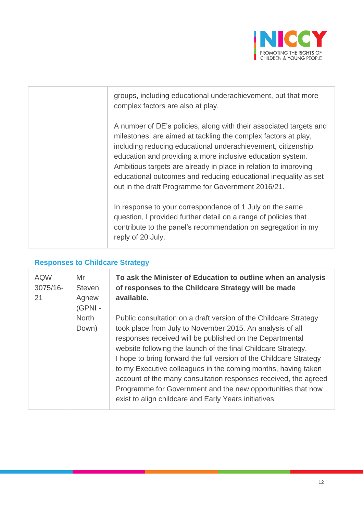

| groups, including educational underachievement, but that more<br>complex factors are also at play.                                                                                                                                                                                                                                                                                                                                                             |
|----------------------------------------------------------------------------------------------------------------------------------------------------------------------------------------------------------------------------------------------------------------------------------------------------------------------------------------------------------------------------------------------------------------------------------------------------------------|
| A number of DE's policies, along with their associated targets and<br>milestones, are aimed at tackling the complex factors at play,<br>including reducing educational underachievement, citizenship<br>education and providing a more inclusive education system.<br>Ambitious targets are already in place in relation to improving<br>educational outcomes and reducing educational inequality as set<br>out in the draft Programme for Government 2016/21. |
| In response to your correspondence of 1 July on the same<br>question, I provided further detail on a range of policies that<br>contribute to the panel's recommendation on segregation in my<br>reply of 20 July.                                                                                                                                                                                                                                              |

### **Responses to Childcare Strategy**

| <b>AQW</b><br>3075/16-<br>21 | Mr<br><b>Steven</b><br>Agnew<br>(GPNI - | To ask the Minister of Education to outline when an analysis<br>of responses to the Childcare Strategy will be made<br>available.                                                                                                                                                                                                                                                                                                                                                                                                                                                            |
|------------------------------|-----------------------------------------|----------------------------------------------------------------------------------------------------------------------------------------------------------------------------------------------------------------------------------------------------------------------------------------------------------------------------------------------------------------------------------------------------------------------------------------------------------------------------------------------------------------------------------------------------------------------------------------------|
|                              | <b>North</b><br>Down)                   | Public consultation on a draft version of the Childcare Strategy<br>took place from July to November 2015. An analysis of all<br>responses received will be published on the Departmental<br>website following the launch of the final Childcare Strategy.<br>I hope to bring forward the full version of the Childcare Strategy<br>to my Executive colleagues in the coming months, having taken<br>account of the many consultation responses received, the agreed<br>Programme for Government and the new opportunities that now<br>exist to align childcare and Early Years initiatives. |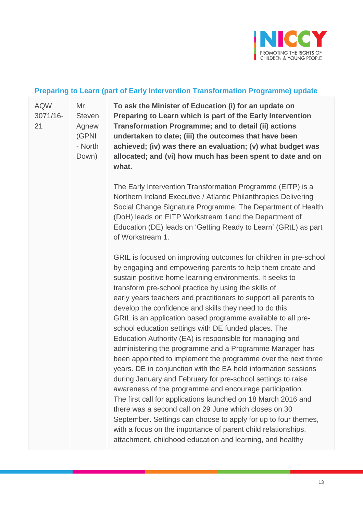

#### **Preparing to Learn (part of Early Intervention Transformation Programme) update**

[AQW](javascript:__doPostBack() [3071/16-](javascript:__doPostBack() [21](javascript:__doPostBack() Mr **Steven** Agnew (GPNI

> - North Down)

**To ask the Minister of Education (i) for an update on Preparing to Learn which is part of the Early Intervention Transformation Programme; and to detail (ii) actions undertaken to date; (iii) the outcomes that have been achieved; (iv) was there an evaluation; (v) what budget was allocated; and (vi) how much has been spent to date and on what.**

The Early Intervention Transformation Programme (EITP) is a Northern Ireland Executive / Atlantic Philanthropies Delivering Social Change Signature Programme. The Department of Health (DoH) leads on EITP Workstream 1and the Department of Education (DE) leads on 'Getting Ready to Learn' (GRtL) as part of Workstream 1.

GRtL is focused on improving outcomes for children in pre-school by engaging and empowering parents to help them create and sustain positive home learning environments. It seeks to transform pre-school practice by using the skills of early years teachers and practitioners to support all parents to develop the confidence and skills they need to do this. GRtL is an application based programme available to all preschool education settings with DE funded places. The Education Authority (EA) is responsible for managing and administering the programme and a Programme Manager has been appointed to implement the programme over the next three years. DE in conjunction with the EA held information sessions during January and February for pre-school settings to raise awareness of the programme and encourage participation. The first call for applications launched on 18 March 2016 and there was a second call on 29 June which closes on 30 September. Settings can choose to apply for up to four themes, with a focus on the importance of parent child relationships, attachment, childhood education and learning, and healthy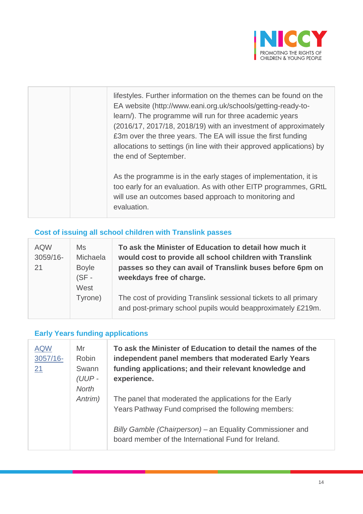

| lifestyles. Further information on the themes can be found on the<br>EA website (http://www.eani.org.uk/schools/getting-ready-to-<br>learn/). The programme will run for three academic years<br>(2016/17, 2017/18, 2018/19) with an investment of approximately<br>£3m over the three years. The EA will issue the first funding<br>allocations to settings (in line with their approved applications) by<br>the end of September. |
|-------------------------------------------------------------------------------------------------------------------------------------------------------------------------------------------------------------------------------------------------------------------------------------------------------------------------------------------------------------------------------------------------------------------------------------|
| As the programme is in the early stages of implementation, it is<br>too early for an evaluation. As with other EITP programmes, GRtL<br>will use an outcomes based approach to monitoring and<br>evaluation.                                                                                                                                                                                                                        |

# **Cost of issuing all school children with Translink passes**

| <b>AQW</b><br>3059/16-<br>21 | Ms<br>Michaela<br><b>Boyle</b><br>$(SF -$<br>West | To ask the Minister of Education to detail how much it<br>would cost to provide all school children with Translink<br>passes so they can avail of Translink buses before 6pm on<br>weekdays free of charge. |
|------------------------------|---------------------------------------------------|-------------------------------------------------------------------------------------------------------------------------------------------------------------------------------------------------------------|
|                              | Tyrone)                                           | The cost of providing Translink sessional tickets to all primary<br>and post-primary school pupils would beapproximately £219m.                                                                             |

# **Early Years funding applications**

| <b>AQW</b><br>$3057/16 -$<br>21 | Mr<br><b>Robin</b><br>Swann<br>(UUP-<br><b>North</b><br>Antrim) | To ask the Minister of Education to detail the names of the<br>independent panel members that moderated Early Years<br>funding applications; and their relevant knowledge and<br>experience.                                       |  |
|---------------------------------|-----------------------------------------------------------------|------------------------------------------------------------------------------------------------------------------------------------------------------------------------------------------------------------------------------------|--|
|                                 |                                                                 | The panel that moderated the applications for the Early<br>Years Pathway Fund comprised the following members:<br>Billy Gamble (Chairperson) - an Equality Commissioner and<br>board member of the International Fund for Ireland. |  |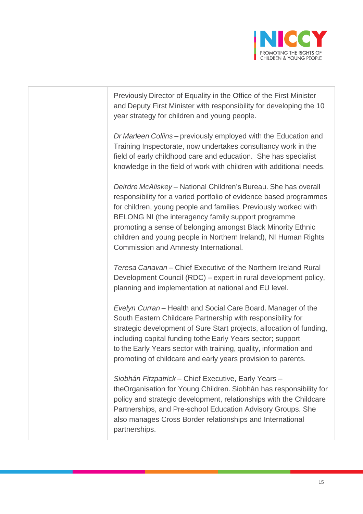

Previously Director of Equality in the Office of the First Minister and Deputy First Minister with responsibility for developing the 10 year strategy for children and young people. *Dr Marleen Collins –* previously employed with the Education and Training Inspectorate, now undertakes consultancy work in the field of early childhood care and education. She has specialist knowledge in the field of work with children with additional needs. *Deirdre McAliskey* – National Children's Bureau. She has overall responsibility for a varied portfolio of evidence based programmes for children, young people and families. Previously worked with BELONG NI (the interagency family support programme promoting a sense of belonging amongst Black Minority Ethnic children and young people in Northern Ireland), NI Human Rights Commission and Amnesty International. *Teresa Canavan* – Chief Executive of the Northern Ireland Rural Development Council (RDC) – expert in rural development policy, planning and implementation at national and EU level. *Evelyn Curran* – Health and Social Care Board. Manager of the South Eastern Childcare Partnership with responsibility for strategic development of Sure Start projects, allocation of funding, including capital funding tothe Early Years sector; support to the Early Years sector with training, quality, information and promoting of childcare and early years provision to parents. *Siobhán Fitzpatrick* – Chief Executive, Early Years – theOrganisation for Young Children. Siobhán has responsibility for policy and strategic development, relationships with the Childcare Partnerships, and Pre-school Education Advisory Groups. She also manages Cross Border relationships and International partnerships.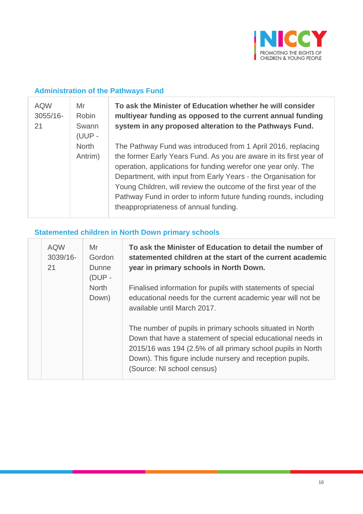

# **Administration of the Pathways Fund**

| <b>AQW</b><br>$3055/16 -$<br>21 | Mr<br><b>Robin</b><br>Swann<br>(UUP - | To ask the Minister of Education whether he will consider<br>multiyear funding as opposed to the current annual funding<br>system in any proposed alteration to the Pathways Fund.                                                                                                                                                                                                                                                                      |  |  |
|---------------------------------|---------------------------------------|---------------------------------------------------------------------------------------------------------------------------------------------------------------------------------------------------------------------------------------------------------------------------------------------------------------------------------------------------------------------------------------------------------------------------------------------------------|--|--|
|                                 | <b>North</b><br>Antrim)               | The Pathway Fund was introduced from 1 April 2016, replacing<br>the former Early Years Fund. As you are aware in its first year of<br>operation, applications for funding werefor one year only. The<br>Department, with input from Early Years - the Organisation for<br>Young Children, will review the outcome of the first year of the<br>Pathway Fund in order to inform future funding rounds, including<br>theappropriateness of annual funding. |  |  |

# **Statemented children in North Down primary schools**

| <b>AQW</b><br>3039/16-<br>21 | Mr<br>Gordon<br>Dunne<br>$(DUP -$ | To ask the Minister of Education to detail the number of<br>statemented children at the start of the current academic<br>year in primary schools in North Down.                                                                                                                  |
|------------------------------|-----------------------------------|----------------------------------------------------------------------------------------------------------------------------------------------------------------------------------------------------------------------------------------------------------------------------------|
|                              | <b>North</b><br>Down)             | Finalised information for pupils with statements of special<br>educational needs for the current academic year will not be<br>available until March 2017.                                                                                                                        |
|                              |                                   | The number of pupils in primary schools situated in North<br>Down that have a statement of special educational needs in<br>2015/16 was 194 (2.5% of all primary school pupils in North<br>Down). This figure include nursery and reception pupils.<br>(Source: NI school census) |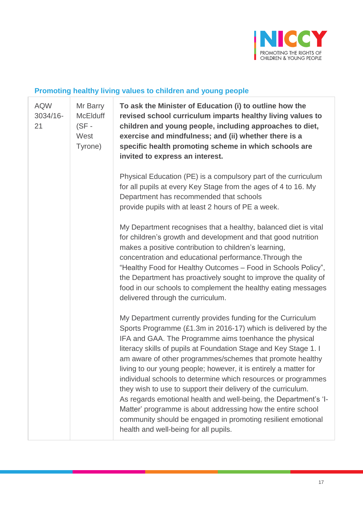

# **Promoting healthy living values to children and young people**

| <b>AQW</b><br>3034/16-<br>21 | Mr Barry<br><b>McElduff</b><br>$(SF -$<br>West<br>Tyrone) | To ask the Minister of Education (i) to outline how the<br>revised school curriculum imparts healthy living values to<br>children and young people, including approaches to diet,<br>exercise and mindfulness; and (ii) whether there is a<br>specific health promoting scheme in which schools are<br>invited to express an interest.                                                                                                                                                                                                                                                                                                                                                                                                                                    |
|------------------------------|-----------------------------------------------------------|---------------------------------------------------------------------------------------------------------------------------------------------------------------------------------------------------------------------------------------------------------------------------------------------------------------------------------------------------------------------------------------------------------------------------------------------------------------------------------------------------------------------------------------------------------------------------------------------------------------------------------------------------------------------------------------------------------------------------------------------------------------------------|
|                              |                                                           | Physical Education (PE) is a compulsory part of the curriculum<br>for all pupils at every Key Stage from the ages of 4 to 16. My<br>Department has recommended that schools<br>provide pupils with at least 2 hours of PE a week.                                                                                                                                                                                                                                                                                                                                                                                                                                                                                                                                         |
|                              |                                                           | My Department recognises that a healthy, balanced diet is vital<br>for children's growth and development and that good nutrition<br>makes a positive contribution to children's learning,<br>concentration and educational performance. Through the<br>"Healthy Food for Healthy Outcomes - Food in Schools Policy",<br>the Department has proactively sought to improve the quality of<br>food in our schools to complement the healthy eating messages<br>delivered through the curriculum.                                                                                                                                                                                                                                                                             |
|                              |                                                           | My Department currently provides funding for the Curriculum<br>Sports Programme (£1.3m in 2016-17) which is delivered by the<br>IFA and GAA. The Programme aims toenhance the physical<br>literacy skills of pupils at Foundation Stage and Key Stage 1. I<br>am aware of other programmes/schemes that promote healthy<br>living to our young people; however, it is entirely a matter for<br>individual schools to determine which resources or programmes<br>they wish to use to support their delivery of the curriculum.<br>As regards emotional health and well-being, the Department's 'I-<br>Matter' programme is about addressing how the entire school<br>community should be engaged in promoting resilient emotional<br>health and well-being for all pupils. |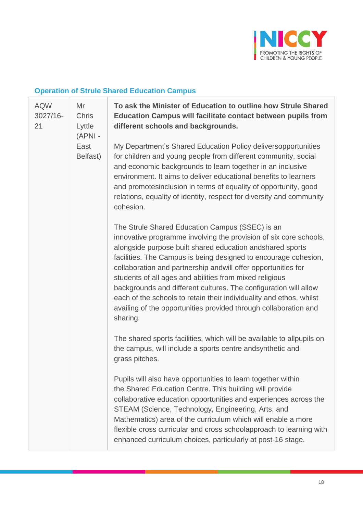

# **Operation of Strule Shared Education Campus**

| <b>AQW</b><br>3027/16-<br>21 | Mr<br><b>Chris</b><br>Lyttle<br>(APNI - | To ask the Minister of Education to outline how Strule Shared<br><b>Education Campus will facilitate contact between pupils from</b><br>different schools and backgrounds.                                                                                                                                                                                                                                                                                                                                                                                                                                  |
|------------------------------|-----------------------------------------|-------------------------------------------------------------------------------------------------------------------------------------------------------------------------------------------------------------------------------------------------------------------------------------------------------------------------------------------------------------------------------------------------------------------------------------------------------------------------------------------------------------------------------------------------------------------------------------------------------------|
|                              | East<br>Belfast)                        | My Department's Shared Education Policy deliversopportunities<br>for children and young people from different community, social<br>and economic backgrounds to learn together in an inclusive<br>environment. It aims to deliver educational benefits to learners<br>and promotesinclusion in terms of equality of opportunity, good<br>relations, equality of identity, respect for diversity and community<br>cohesion.                                                                                                                                                                                   |
|                              |                                         | The Strule Shared Education Campus (SSEC) is an<br>innovative programme involving the provision of six core schools,<br>alongside purpose built shared education andshared sports<br>facilities. The Campus is being designed to encourage cohesion,<br>collaboration and partnership andwill offer opportunities for<br>students of all ages and abilities from mixed religious<br>backgrounds and different cultures. The configuration will allow<br>each of the schools to retain their individuality and ethos, whilst<br>availing of the opportunities provided through collaboration and<br>sharing. |
|                              |                                         | The shared sports facilities, which will be available to allpupils on<br>the campus, will include a sports centre andsynthetic and<br>grass pitches.                                                                                                                                                                                                                                                                                                                                                                                                                                                        |
|                              |                                         | Pupils will also have opportunities to learn together within<br>the Shared Education Centre. This building will provide<br>collaborative education opportunities and experiences across the<br>STEAM (Science, Technology, Engineering, Arts, and<br>Mathematics) area of the curriculum which will enable a more<br>flexible cross curricular and cross schoolapproach to learning with<br>enhanced curriculum choices, particularly at post-16 stage.                                                                                                                                                     |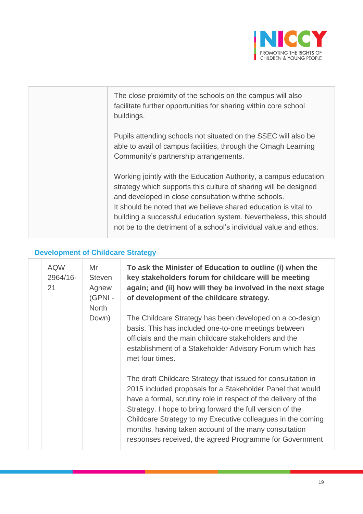

|  | The close proximity of the schools on the campus will also<br>facilitate further opportunities for sharing within core school<br>buildings.                                                                                                                                                                                                                                                                |
|--|------------------------------------------------------------------------------------------------------------------------------------------------------------------------------------------------------------------------------------------------------------------------------------------------------------------------------------------------------------------------------------------------------------|
|  | Pupils attending schools not situated on the SSEC will also be<br>able to avail of campus facilities, through the Omagh Learning<br>Community's partnership arrangements.                                                                                                                                                                                                                                  |
|  | Working jointly with the Education Authority, a campus education<br>strategy which supports this culture of sharing will be designed<br>and developed in close consultation with the schools.<br>It should be noted that we believe shared education is vital to<br>building a successful education system. Nevertheless, this should<br>not be to the detriment of a school's individual value and ethos. |

# **Development of Childcare Strategy**

| <b>AQW</b><br>2964/16-<br>21 | Mr<br><b>Steven</b><br>Agnew<br>(GPNI-<br><b>North</b><br>Down) | To ask the Minister of Education to outline (i) when the<br>key stakeholders forum for childcare will be meeting<br>again; and (ii) how will they be involved in the next stage<br>of development of the childcare strategy.<br>The Childcare Strategy has been developed on a co-design<br>basis. This has included one-to-one meetings between<br>officials and the main childcare stakeholders and the<br>establishment of a Stakeholder Advisory Forum which has<br>met four times. |
|------------------------------|-----------------------------------------------------------------|-----------------------------------------------------------------------------------------------------------------------------------------------------------------------------------------------------------------------------------------------------------------------------------------------------------------------------------------------------------------------------------------------------------------------------------------------------------------------------------------|
|                              |                                                                 | The draft Childcare Strategy that issued for consultation in<br>2015 included proposals for a Stakeholder Panel that would<br>have a formal, scrutiny role in respect of the delivery of the<br>Strategy. I hope to bring forward the full version of the<br>Childcare Strategy to my Executive colleagues in the coming<br>months, having taken account of the many consultation<br>responses received, the agreed Programme for Government                                            |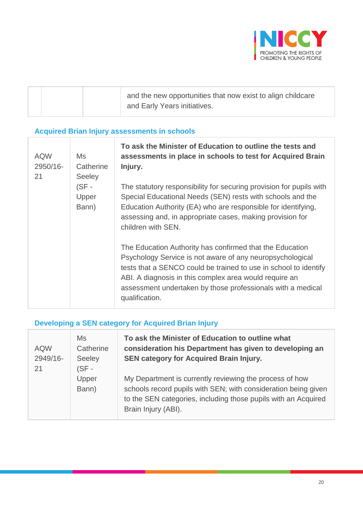

| and the new opportunities that now exist to align childcare |
|-------------------------------------------------------------|
| and Early Years initiatives.                                |

# **Acquired Brian Injury assessments in schools**

| <b>AQW</b><br>2950/16-<br>21 | Ms<br>Catherine<br><b>Seeley</b> | To ask the Minister of Education to outline the tests and<br>assessments in place in schools to test for Acquired Brain<br>Injury.                                                                                                                                                                                                   |
|------------------------------|----------------------------------|--------------------------------------------------------------------------------------------------------------------------------------------------------------------------------------------------------------------------------------------------------------------------------------------------------------------------------------|
|                              | $(SF -$<br>Upper<br>Bann)        | The statutory responsibility for securing provision for pupils with<br>Special Educational Needs (SEN) rests with schools and the<br>Education Authority (EA) who are responsible for identifying,<br>assessing and, in appropriate cases, making provision for<br>children with SEN.                                                |
|                              |                                  | The Education Authority has confirmed that the Education<br>Psychology Service is not aware of any neuropsychological<br>tests that a SENCO could be trained to use in school to identify<br>ABI. A diagnosis in this complex area would require an<br>assessment undertaken by those professionals with a medical<br>qualification. |

# **Developing a SEN category for Acquired Brian Injury**

| <b>AQW</b><br>2949/16-<br>21 | Ms<br>Catherine<br>Seeley<br>$(SF -$ | To ask the Minister of Education to outline what<br>consideration his Department has given to developing an<br>SEN category for Acquired Brain Injury.                                                             |
|------------------------------|--------------------------------------|--------------------------------------------------------------------------------------------------------------------------------------------------------------------------------------------------------------------|
|                              | Upper<br>Bann)                       | My Department is currently reviewing the process of how<br>schools record pupils with SEN; with consideration being given<br>to the SEN categories, including those pupils with an Acquired<br>Brain Injury (ABI). |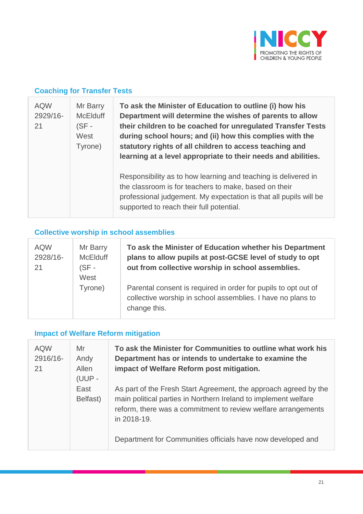

### **Coaching for Transfer Tests**

| <b>AQW</b><br>2929/16-<br>21 | Mr Barry<br><b>McElduff</b><br>$(SF -$<br>West<br>Tyrone) | To ask the Minister of Education to outline (i) how his<br>Department will determine the wishes of parents to allow<br>their children to be coached for unregulated Transfer Tests<br>during school hours; and (ii) how this complies with the<br>statutory rights of all children to access teaching and<br>learning at a level appropriate to their needs and abilities. |
|------------------------------|-----------------------------------------------------------|----------------------------------------------------------------------------------------------------------------------------------------------------------------------------------------------------------------------------------------------------------------------------------------------------------------------------------------------------------------------------|
|                              |                                                           | Responsibility as to how learning and teaching is delivered in<br>the classroom is for teachers to make, based on their<br>professional judgement. My expectation is that all pupils will be<br>supported to reach their full potential.                                                                                                                                   |

### **Collective worship in school assemblies**

| <b>AQW</b><br>2928/16-<br>21 | Mr Barry<br><b>McElduff</b><br>(SF -<br>West | To ask the Minister of Education whether his Department<br>plans to allow pupils at post-GCSE level of study to opt<br>out from collective worship in school assemblies. |
|------------------------------|----------------------------------------------|--------------------------------------------------------------------------------------------------------------------------------------------------------------------------|
|                              | Tyrone)                                      | Parental consent is required in order for pupils to opt out of<br>collective worship in school assemblies. I have no plans to<br>change this.                            |

# **Impact of Welfare Reform mitigation**

| <b>AQW</b><br>2916/16-<br>21 | Mr<br>Andy<br>Allen<br>(UUP - | To ask the Minister for Communities to outline what work his<br>Department has or intends to undertake to examine the<br>impact of Welfare Reform post mitigation.                                                  |
|------------------------------|-------------------------------|---------------------------------------------------------------------------------------------------------------------------------------------------------------------------------------------------------------------|
|                              | East<br>Belfast)              | As part of the Fresh Start Agreement, the approach agreed by the<br>main political parties in Northern Ireland to implement welfare<br>reform, there was a commitment to review welfare arrangements<br>in 2018-19. |
|                              |                               | Department for Communities officials have now developed and                                                                                                                                                         |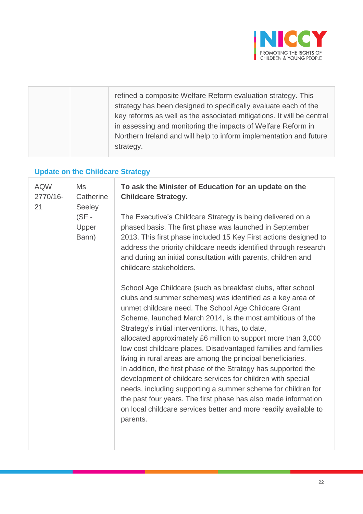

| refined a composite Welfare Reform evaluation strategy. This<br>strategy has been designed to specifically evaluate each of the<br>key reforms as well as the associated mitigations. It will be central<br>in assessing and monitoring the impacts of Welfare Reform in<br>Northern Ireland and will help to inform implementation and future<br>strategy. |  |
|-------------------------------------------------------------------------------------------------------------------------------------------------------------------------------------------------------------------------------------------------------------------------------------------------------------------------------------------------------------|--|
|-------------------------------------------------------------------------------------------------------------------------------------------------------------------------------------------------------------------------------------------------------------------------------------------------------------------------------------------------------------|--|

# **Update on the Childcare Strategy**

| <b>AQW</b><br>2770/16-<br>21 | Ms<br>Catherine<br><b>Seeley</b><br>$(SF -$<br>Upper<br>Bann) | To ask the Minister of Education for an update on the<br><b>Childcare Strategy.</b><br>The Executive's Childcare Strategy is being delivered on a<br>phased basis. The first phase was launched in September<br>2013. This first phase included 15 Key First actions designed to<br>address the priority childcare needs identified through research<br>and during an initial consultation with parents, children and                                                                                                                                                                                                                                                                                                                                                                                                                                                                |
|------------------------------|---------------------------------------------------------------|--------------------------------------------------------------------------------------------------------------------------------------------------------------------------------------------------------------------------------------------------------------------------------------------------------------------------------------------------------------------------------------------------------------------------------------------------------------------------------------------------------------------------------------------------------------------------------------------------------------------------------------------------------------------------------------------------------------------------------------------------------------------------------------------------------------------------------------------------------------------------------------|
|                              |                                                               | childcare stakeholders.<br>School Age Childcare (such as breakfast clubs, after school<br>clubs and summer schemes) was identified as a key area of<br>unmet childcare need. The School Age Childcare Grant<br>Scheme, launched March 2014, is the most ambitious of the<br>Strategy's initial interventions. It has, to date,<br>allocated approximately £6 million to support more than 3,000<br>low cost childcare places. Disadvantaged families and families<br>living in rural areas are among the principal beneficiaries.<br>In addition, the first phase of the Strategy has supported the<br>development of childcare services for children with special<br>needs, including supporting a summer scheme for children for<br>the past four years. The first phase has also made information<br>on local childcare services better and more readily available to<br>parents. |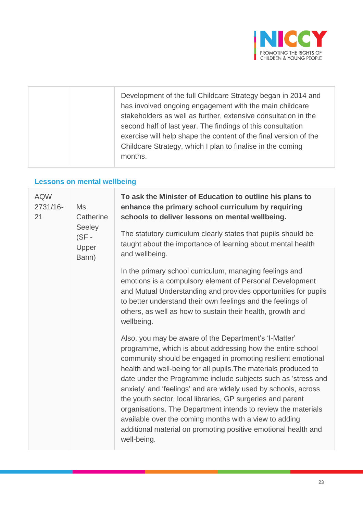

# **Lessons on mental wellbeing**

| <b>AQW</b><br>2731/16-<br>21 | Ms<br>Catherine<br>Seeley<br>$(SF -$<br>Upper<br>Bann) | To ask the Minister of Education to outline his plans to<br>enhance the primary school curriculum by requiring<br>schools to deliver lessons on mental wellbeing.                                                                                                                                                                                                                                                                                                                                                                                                                                                                                                   |  |  |  |  |  |
|------------------------------|--------------------------------------------------------|---------------------------------------------------------------------------------------------------------------------------------------------------------------------------------------------------------------------------------------------------------------------------------------------------------------------------------------------------------------------------------------------------------------------------------------------------------------------------------------------------------------------------------------------------------------------------------------------------------------------------------------------------------------------|--|--|--|--|--|
|                              |                                                        | The statutory curriculum clearly states that pupils should be<br>taught about the importance of learning about mental health<br>and wellbeing.                                                                                                                                                                                                                                                                                                                                                                                                                                                                                                                      |  |  |  |  |  |
|                              |                                                        | In the primary school curriculum, managing feelings and<br>emotions is a compulsory element of Personal Development<br>and Mutual Understanding and provides opportunities for pupils<br>to better understand their own feelings and the feelings of<br>others, as well as how to sustain their health, growth and<br>wellbeing.                                                                                                                                                                                                                                                                                                                                    |  |  |  |  |  |
|                              |                                                        | Also, you may be aware of the Department's 'I-Matter'<br>programme, which is about addressing how the entire school<br>community should be engaged in promoting resilient emotional<br>health and well-being for all pupils. The materials produced to<br>date under the Programme include subjects such as 'stress and<br>anxiety' and 'feelings' and are widely used by schools, across<br>the youth sector, local libraries, GP surgeries and parent<br>organisations. The Department intends to review the materials<br>available over the coming months with a view to adding<br>additional material on promoting positive emotional health and<br>well-being. |  |  |  |  |  |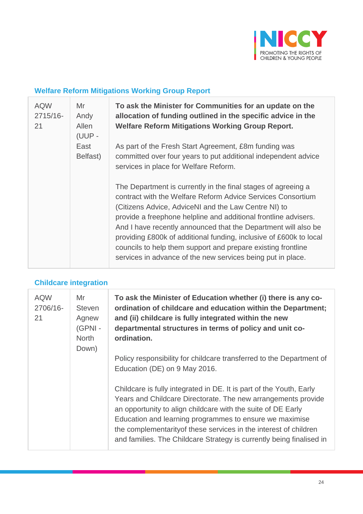

# **Welfare Reform Mitigations Working Group Report**

| <b>AQW</b><br>2715/16-<br>21 | Mr<br>Andy<br>Allen<br>(UUP - | To ask the Minister for Communities for an update on the<br>allocation of funding outlined in the specific advice in the<br><b>Welfare Reform Mitigations Working Group Report.</b>                                                                                                                                                                                                                                                                                                                                            |
|------------------------------|-------------------------------|--------------------------------------------------------------------------------------------------------------------------------------------------------------------------------------------------------------------------------------------------------------------------------------------------------------------------------------------------------------------------------------------------------------------------------------------------------------------------------------------------------------------------------|
|                              | East<br>Belfast)              | As part of the Fresh Start Agreement, £8m funding was<br>committed over four years to put additional independent advice<br>services in place for Welfare Reform.                                                                                                                                                                                                                                                                                                                                                               |
|                              |                               | The Department is currently in the final stages of agreeing a<br>contract with the Welfare Reform Advice Services Consortium<br>(Citizens Advice, AdviceNI and the Law Centre NI) to<br>provide a freephone helpline and additional frontline advisers.<br>And I have recently announced that the Department will also be<br>providing £800k of additional funding, inclusive of £600k to local<br>councils to help them support and prepare existing frontline<br>services in advance of the new services being put in place. |

### **Childcare integration**

| <b>AQW</b><br>2706/16-<br>21 | Mr<br><b>Steven</b><br>Agnew<br>(GPNI -<br><b>North</b><br>Down) | To ask the Minister of Education whether (i) there is any co-<br>ordination of childcare and education within the Department;<br>and (ii) childcare is fully integrated within the new<br>departmental structures in terms of policy and unit co-<br>ordination.                                                                                                                                             |
|------------------------------|------------------------------------------------------------------|--------------------------------------------------------------------------------------------------------------------------------------------------------------------------------------------------------------------------------------------------------------------------------------------------------------------------------------------------------------------------------------------------------------|
|                              |                                                                  | Policy responsibility for childcare transferred to the Department of<br>Education (DE) on 9 May 2016.                                                                                                                                                                                                                                                                                                        |
|                              |                                                                  | Childcare is fully integrated in DE. It is part of the Youth, Early<br>Years and Childcare Directorate. The new arrangements provide<br>an opportunity to align childcare with the suite of DE Early<br>Education and learning programmes to ensure we maximise<br>the complementarity of these services in the interest of children<br>and families. The Childcare Strategy is currently being finalised in |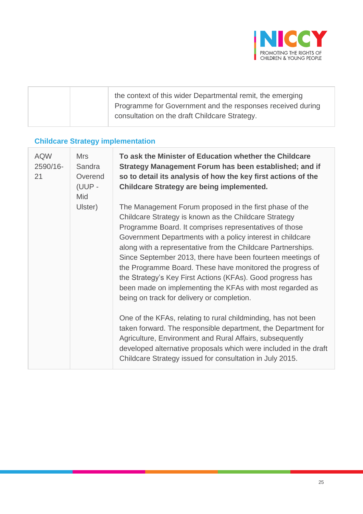

# **Childcare Strategy implementation**

| <b>AQW</b><br>2590/16-<br>21 | <b>Mrs</b><br>Sandra<br>Overend<br>(UUP -<br>Mid | To ask the Minister of Education whether the Childcare<br>Strategy Management Forum has been established; and if<br>so to detail its analysis of how the key first actions of the<br><b>Childcare Strategy are being implemented.</b>                                                                                                                                                                                                                                                                                                                                                                       |
|------------------------------|--------------------------------------------------|-------------------------------------------------------------------------------------------------------------------------------------------------------------------------------------------------------------------------------------------------------------------------------------------------------------------------------------------------------------------------------------------------------------------------------------------------------------------------------------------------------------------------------------------------------------------------------------------------------------|
|                              | Ulster)                                          | The Management Forum proposed in the first phase of the<br>Childcare Strategy is known as the Childcare Strategy<br>Programme Board. It comprises representatives of those<br>Government Departments with a policy interest in childcare<br>along with a representative from the Childcare Partnerships.<br>Since September 2013, there have been fourteen meetings of<br>the Programme Board. These have monitored the progress of<br>the Strategy's Key First Actions (KFAs). Good progress has<br>been made on implementing the KFAs with most regarded as<br>being on track for delivery or completion. |
|                              |                                                  | One of the KFAs, relating to rural childminding, has not been<br>taken forward. The responsible department, the Department for<br>Agriculture, Environment and Rural Affairs, subsequently<br>developed alternative proposals which were included in the draft<br>Childcare Strategy issued for consultation in July 2015.                                                                                                                                                                                                                                                                                  |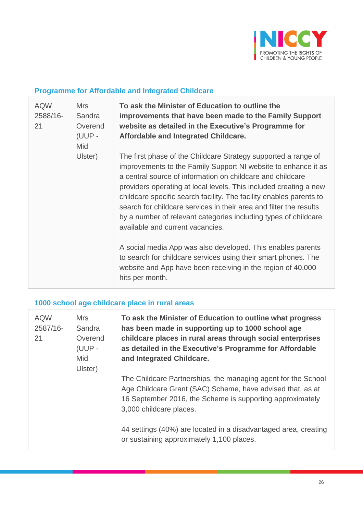

### **Programme for Affordable and Integrated Childcare**

| <b>AQW</b><br>2588/16-<br>21 | <b>Mrs</b><br>Sandra<br>Overend<br>(UUP -<br>Mid | To ask the Minister of Education to outline the<br>improvements that have been made to the Family Support<br>website as detailed in the Executive's Programme for<br>Affordable and Integrated Childcare.                                                                                                                                                                                                                                                                                                               |
|------------------------------|--------------------------------------------------|-------------------------------------------------------------------------------------------------------------------------------------------------------------------------------------------------------------------------------------------------------------------------------------------------------------------------------------------------------------------------------------------------------------------------------------------------------------------------------------------------------------------------|
|                              | Ulster)                                          | The first phase of the Childcare Strategy supported a range of<br>improvements to the Family Support NI website to enhance it as<br>a central source of information on childcare and childcare<br>providers operating at local levels. This included creating a new<br>childcare specific search facility. The facility enables parents to<br>search for childcare services in their area and filter the results<br>by a number of relevant categories including types of childcare<br>available and current vacancies. |
|                              |                                                  | A social media App was also developed. This enables parents<br>to search for childcare services using their smart phones. The<br>website and App have been receiving in the region of 40,000<br>hits per month.                                                                                                                                                                                                                                                                                                         |

# **1000 school age childcare place in rural areas**

| <b>AQW</b><br>2587/16-<br>21 | <b>Mrs</b><br>Sandra<br>Overend<br>(UUP -<br><b>Mid</b><br>Ulster) | To ask the Minister of Education to outline what progress<br>has been made in supporting up to 1000 school age<br>childcare places in rural areas through social enterprises<br>as detailed in the Executive's Programme for Affordable<br>and Integrated Childcare. |
|------------------------------|--------------------------------------------------------------------|----------------------------------------------------------------------------------------------------------------------------------------------------------------------------------------------------------------------------------------------------------------------|
|                              |                                                                    | The Childcare Partnerships, the managing agent for the School<br>Age Childcare Grant (SAC) Scheme, have advised that, as at<br>16 September 2016, the Scheme is supporting approximately<br>3,000 childcare places.                                                  |
|                              |                                                                    | 44 settings (40%) are located in a disadvantaged area, creating<br>or sustaining approximately 1,100 places.                                                                                                                                                         |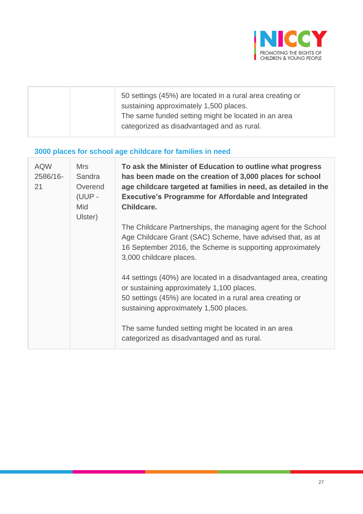

|  | 50 settings (45%) are located in a rural area creating or<br>sustaining approximately 1,500 places.<br>The same funded setting might be located in an area |
|--|------------------------------------------------------------------------------------------------------------------------------------------------------------|
|  | categorized as disadvantaged and as rural.                                                                                                                 |

# **3000 places for school age childcare for families in need**

| <b>AQW</b><br>2586/16-<br>21 | <b>Mrs</b><br>Sandra<br>Overend<br>(UUP -<br><b>Mid</b><br>Ulster) | To ask the Minister of Education to outline what progress<br>has been made on the creation of 3,000 places for school<br>age childcare targeted at families in need, as detailed in the<br><b>Executive's Programme for Affordable and Integrated</b><br>Childcare. |
|------------------------------|--------------------------------------------------------------------|---------------------------------------------------------------------------------------------------------------------------------------------------------------------------------------------------------------------------------------------------------------------|
|                              |                                                                    | The Childcare Partnerships, the managing agent for the School<br>Age Childcare Grant (SAC) Scheme, have advised that, as at<br>16 September 2016, the Scheme is supporting approximately<br>3,000 childcare places.                                                 |
|                              |                                                                    | 44 settings (40%) are located in a disadvantaged area, creating<br>or sustaining approximately 1,100 places.<br>50 settings (45%) are located in a rural area creating or<br>sustaining approximately 1,500 places.                                                 |
|                              |                                                                    | The same funded setting might be located in an area<br>categorized as disadvantaged and as rural.                                                                                                                                                                   |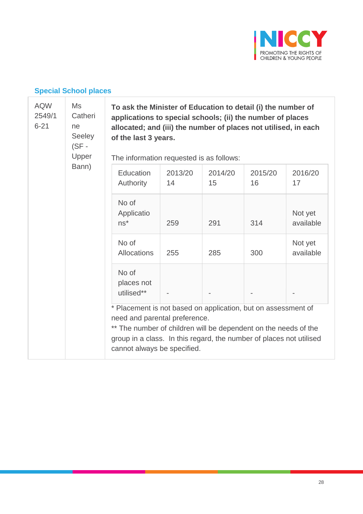

# **Special School places**

| <b>AQW</b><br>Ms<br>2549/1<br>Catheri<br>$6 - 21$<br>ne<br>Seeley<br>$(SF -$<br>Upper<br>Bann) |                                                                                                                                                                                                                                                                         | To ask the Minister of Education to detail (i) the number of<br>applications to special schools; (ii) the number of places<br>allocated; and (iii) the number of places not utilised, in each<br>of the last 3 years.<br>The information requested is as follows: |               |               |                      |  |  |  |
|------------------------------------------------------------------------------------------------|-------------------------------------------------------------------------------------------------------------------------------------------------------------------------------------------------------------------------------------------------------------------------|-------------------------------------------------------------------------------------------------------------------------------------------------------------------------------------------------------------------------------------------------------------------|---------------|---------------|----------------------|--|--|--|
|                                                                                                | Education<br>Authority                                                                                                                                                                                                                                                  | 2013/20<br>14                                                                                                                                                                                                                                                     | 2014/20<br>15 | 2015/20<br>16 | 2016/20<br>17        |  |  |  |
|                                                                                                | No of<br>Applicatio<br>$ns^*$                                                                                                                                                                                                                                           | 259                                                                                                                                                                                                                                                               | 291           | 314           | Not yet<br>available |  |  |  |
|                                                                                                | No of<br><b>Allocations</b>                                                                                                                                                                                                                                             | 255                                                                                                                                                                                                                                                               | 285           | 300           | Not yet<br>available |  |  |  |
|                                                                                                | No of<br>places not<br>utilised**                                                                                                                                                                                                                                       |                                                                                                                                                                                                                                                                   |               |               |                      |  |  |  |
|                                                                                                | * Placement is not based on application, but on assessment of<br>need and parental preference.<br>** The number of children will be dependent on the needs of the<br>group in a class. In this regard, the number of places not utilised<br>cannot always be specified. |                                                                                                                                                                                                                                                                   |               |               |                      |  |  |  |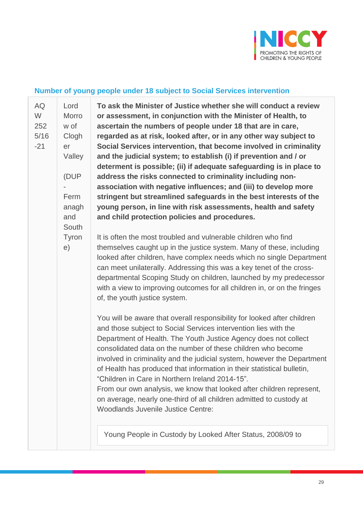

#### **Number of young people under 18 subject to Social Services intervention**

[AQ](javascript:__doPostBack() [252](javascript:__doPostBack() [5/16](javascript:__doPostBack()  $-21$ Lord Morro w of Clogh er Valley (DUP - Ferm anagh and South Tyron e)

[W](javascript:__doPostBack()

**To ask the Minister of Justice whether she will conduct a review or assessment, in conjunction with the Minister of Health, to ascertain the numbers of people under 18 that are in care, regarded as at risk, looked after, or in any other way subject to Social Services intervention, that become involved in criminality and the judicial system; to establish (i) if prevention and / or determent is possible; (ii) if adequate safeguarding is in place to address the risks connected to criminality including nonassociation with negative influences; and (iii) to develop more stringent but streamlined safeguards in the best interests of the young person, in line with risk assessments, health and safety and child protection policies and procedures.**

It is often the most troubled and vulnerable children who find themselves caught up in the justice system. Many of these, including looked after children, have complex needs which no single Department can meet unilaterally. Addressing this was a key tenet of the crossdepartmental Scoping Study on children, launched by my predecessor with a view to improving outcomes for all children in, or on the fringes of, the youth justice system.

You will be aware that overall responsibility for looked after children and those subject to Social Services intervention lies with the Department of Health. The Youth Justice Agency does not collect consolidated data on the number of these children who become involved in criminality and the judicial system, however the Department of Health has produced that information in their statistical bulletin, "Children in Care in Northern Ireland 2014-15". From our own analysis, we know that looked after children represent, on average, nearly one-third of all children admitted to custody at Woodlands Juvenile Justice Centre:

Young People in Custody by Looked After Status, 2008/09 to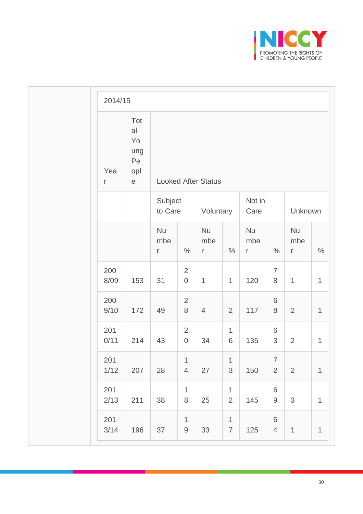

|  | 2014/15             |                                                              |                       |                                    |                           |                                |                       |                                  |                                  |             |
|--|---------------------|--------------------------------------------------------------|-----------------------|------------------------------------|---------------------------|--------------------------------|-----------------------|----------------------------------|----------------------------------|-------------|
|  | Yea<br>$\mathsf{r}$ | Tot<br>al<br>Yo<br>ung<br>Pe<br>opl<br>$\mathop{\mathrm{e}}$ |                       | <b>Looked After Status</b>         |                           |                                |                       |                                  |                                  |             |
|  |                     |                                                              | Subject<br>to Care    |                                    | Voluntary                 |                                | Not in<br>Care        |                                  | Unknown                          |             |
|  |                     |                                                              | <b>Nu</b><br>mbe<br>r | $\%$                               | Nu<br>mbe<br>$\mathsf{r}$ | $\%$                           | <b>Nu</b><br>mbe<br>r | $\%$                             | <b>Nu</b><br>mbe<br>$\mathsf{r}$ | $\%$        |
|  | 200<br>8/09         | 153                                                          | 31                    | $\overline{2}$<br>$\boldsymbol{0}$ | $\mathbf{1}$              | $\mathbf{1}$                   | 120                   | $\overline{7}$<br>8              | $\mathbf{1}$                     | $\mathbf 1$ |
|  | 200<br>9/10         | 172                                                          | 49                    | $\overline{2}$<br>$\, 8$           | $\overline{4}$            | $\overline{2}$                 | 117                   | 6<br>8                           | $\overline{2}$                   | $\mathbf 1$ |
|  | 201<br>0/11         | 214                                                          | 43                    | $\overline{2}$<br>$\boldsymbol{0}$ | 34                        | $\mathbf 1$<br>6               | 135                   | 6<br>$\mathfrak{S}$              | $\overline{2}$                   | $\mathbf 1$ |
|  | 201<br>1/12         | 207                                                          | 28                    | 1<br>$\overline{4}$                | 27                        | 1<br>3                         | 150                   | $\overline{7}$<br>$\overline{2}$ | $\overline{2}$                   | $\mathbf 1$ |
|  | 201<br>2/13         | 211                                                          | 38                    | $\mathbf{1}$<br>$\,8\,$            | 25                        | $\mathbf{1}$<br>$\overline{2}$ | 145                   | $\,6\,$<br>$\hbox{9}$            | $\mathfrak{S}$                   | $\mathbf 1$ |
|  | 201<br>$3/14$       | 196                                                          | 37                    | $\mathbf{1}$<br>$\mathsf 9$        | 33                        | $\mathbf{1}$<br>$\overline{7}$ | 125                   | $\,6\,$<br>$\overline{4}$        | $\mathbf{1}$                     | $\mathbf 1$ |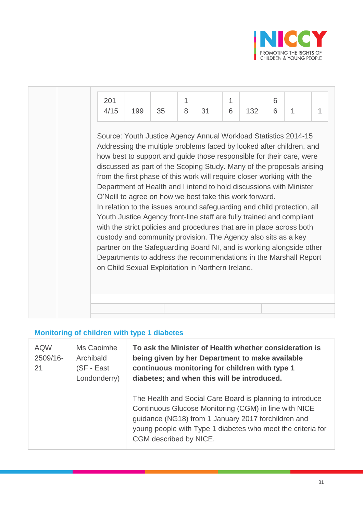

| 201<br>4/15                                                                                                                                                                                                                                                                                                                                                                                                                                                                                                                                                                                                                                                                                                                                                                                                                                                                                                                                                                                           | 199 | 35 | 1<br>8 | 31 | 1<br>6 | 132 | 6<br>6 | 1 | 1 |
|-------------------------------------------------------------------------------------------------------------------------------------------------------------------------------------------------------------------------------------------------------------------------------------------------------------------------------------------------------------------------------------------------------------------------------------------------------------------------------------------------------------------------------------------------------------------------------------------------------------------------------------------------------------------------------------------------------------------------------------------------------------------------------------------------------------------------------------------------------------------------------------------------------------------------------------------------------------------------------------------------------|-----|----|--------|----|--------|-----|--------|---|---|
| Source: Youth Justice Agency Annual Workload Statistics 2014-15<br>Addressing the multiple problems faced by looked after children, and<br>how best to support and guide those responsible for their care, were<br>discussed as part of the Scoping Study. Many of the proposals arising<br>from the first phase of this work will require closer working with the<br>Department of Health and I intend to hold discussions with Minister<br>O'Neill to agree on how we best take this work forward.<br>In relation to the issues around safeguarding and child protection, all<br>Youth Justice Agency front-line staff are fully trained and compliant<br>with the strict policies and procedures that are in place across both<br>custody and community provision. The Agency also sits as a key<br>partner on the Safeguarding Board NI, and is working alongside other<br>Departments to address the recommendations in the Marshall Report<br>on Child Sexual Exploitation in Northern Ireland. |     |    |        |    |        |     |        |   |   |
|                                                                                                                                                                                                                                                                                                                                                                                                                                                                                                                                                                                                                                                                                                                                                                                                                                                                                                                                                                                                       |     |    |        |    |        |     |        |   |   |

# **Monitoring of children with type 1 diabetes**

| <b>AQW</b><br>2509/16-<br>21 | Ms Caoimhe<br>Archibald<br>(SF - East<br>Londonderry) | To ask the Minister of Health whether consideration is<br>being given by her Department to make available<br>continuous monitoring for children with type 1<br>diabetes; and when this will be introduced.                                                         |
|------------------------------|-------------------------------------------------------|--------------------------------------------------------------------------------------------------------------------------------------------------------------------------------------------------------------------------------------------------------------------|
|                              |                                                       | The Health and Social Care Board is planning to introduce<br>Continuous Glucose Monitoring (CGM) in line with NICE<br>guidance (NG18) from 1 January 2017 forchildren and<br>young people with Type 1 diabetes who meet the criteria for<br>CGM described by NICE. |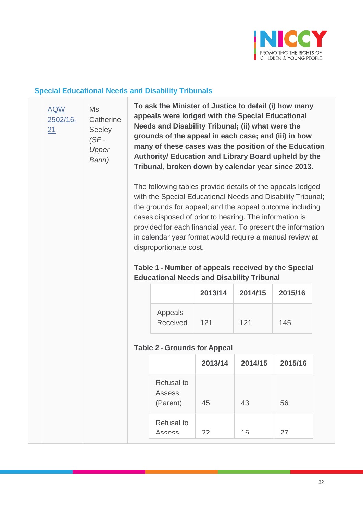

#### **Special Educational Needs and Disability Tribunals**

[AQW](javascript:__doPostBack() [2502/16-](javascript:__doPostBack() [21](javascript:__doPostBack() Ms **Catherine** Seeley *(SF -*

> *Upper Bann)*

**To ask the Minister of Justice to detail (i) how many appeals were lodged with the Special Educational Needs and Disability Tribunal; (ii) what were the grounds of the appeal in each case; and (iii) in how many of these cases was the position of the Education Authority/ Education and Library Board upheld by the Tribunal, broken down by calendar year since 2013.**

The following tables provide details of the appeals lodged with the Special Educational Needs and Disability Tribunal; the grounds for appeal; and the appeal outcome including cases disposed of prior to hearing. The information is provided for each financial year. To present the information in calendar year format would require a manual review at disproportionate cost.

### **Table 1 - Number of appeals received by the Special Educational Needs and Disability Tribunal**

|                     | 2013/14 | 2014/15 | 2015/16 |
|---------------------|---------|---------|---------|
| Appeals<br>Received | 121     | 121     | 145     |

#### **Table 2 - Grounds for Appeal**

|                                         | 2013/14 | 2014/15 | 2015/16 |
|-----------------------------------------|---------|---------|---------|
| <b>Refusal to</b><br>Assess<br>(Parent) | 45      | 43      | 56      |
| <b>Refusal to</b><br>$\triangle$ ccocc  | つつ      | 16      | 27      |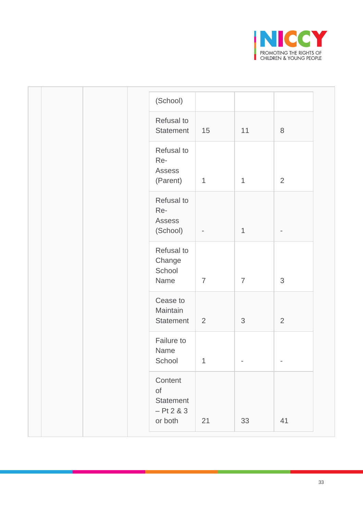

| (School)                                                     |                |                |                          |
|--------------------------------------------------------------|----------------|----------------|--------------------------|
| Refusal to<br>Statement                                      | 15             | 11             | $\,8\,$                  |
| Refusal to<br>Re-<br>Assess<br>(Parent)                      | 1              | $\mathbf{1}$   | $\overline{2}$           |
| Refusal to<br>Re-<br>Assess<br>(School)                      | -              | $\mathbf{1}$   |                          |
| Refusal to<br>Change<br>School<br>Name                       | $\overline{7}$ | $\overline{7}$ | 3                        |
| Cease to<br>Maintain<br>Statement                            | 2              | 3              | $\overline{2}$           |
| Failure to<br>Name<br>School                                 | $\mathbf{1}$   |                | $\overline{\phantom{a}}$ |
| Content<br>$\circ$ f<br>Statement<br>$-$ Pt 2 & 3<br>or both | 21             | 33             | 41                       |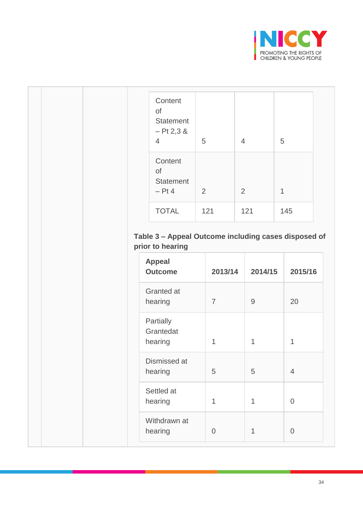

| Content<br>of<br>Statement<br>$-$ Pt 2,3 &<br>$\overline{4}$                          | 5   |                | $\overline{4}$ |              | 5            |                |
|---------------------------------------------------------------------------------------|-----|----------------|----------------|--------------|--------------|----------------|
| Content<br>of<br><b>Statement</b><br>$-$ Pt 4                                         | 2   |                | $\overline{2}$ |              | $\mathbf{1}$ |                |
| <b>TOTAL</b>                                                                          | 121 |                | 121            |              |              | 145            |
|                                                                                       |     |                |                |              |              |                |
| <b>Appeal</b><br><b>Outcome</b>                                                       |     | 2013/14        |                | 2014/15      |              | 2015/16        |
|                                                                                       |     | $\overline{7}$ |                | $9\,$        |              | 20             |
|                                                                                       |     | $\mathbf{1}$   |                | $\mathbf{1}$ |              | $\mathbf 1$    |
| Granted at<br>hearing<br>Partially<br>Grantedat<br>hearing<br>Dismissed at<br>hearing |     | 5              |                | 5            |              | $\overline{4}$ |
| Settled at<br>hearing                                                                 |     | 1              |                | $\mathbf{1}$ |              | $\overline{0}$ |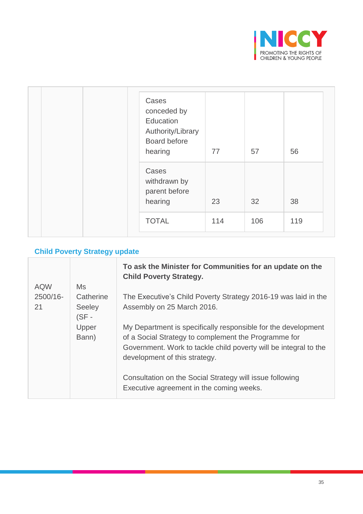

| Cases<br>conceded by<br>Education<br>Authority/Library<br>Board before<br>hearing | 77  | 57  | 56  |
|-----------------------------------------------------------------------------------|-----|-----|-----|
| Cases<br>withdrawn by<br>parent before<br>hearing                                 | 23  | 32  | 38  |
| <b>TOTAL</b>                                                                      | 114 | 106 | 119 |

### **Child Poverty Strategy update**

|            |                        | To ask the Minister for Communities for an update on the<br><b>Child Poverty Strategy.</b>           |
|------------|------------------------|------------------------------------------------------------------------------------------------------|
| <b>AQW</b> | Ms                     |                                                                                                      |
| 2500/16-   | Catherine              | The Executive's Child Poverty Strategy 2016-19 was laid in the                                       |
| 21         | <b>Seeley</b><br>(SF - | Assembly on 25 March 2016.                                                                           |
|            | Upper                  | My Department is specifically responsible for the development                                        |
|            | Bann)                  | of a Social Strategy to complement the Programme for                                                 |
|            |                        | Government. Work to tackle child poverty will be integral to the<br>development of this strategy.    |
|            |                        | Consultation on the Social Strategy will issue following<br>Executive agreement in the coming weeks. |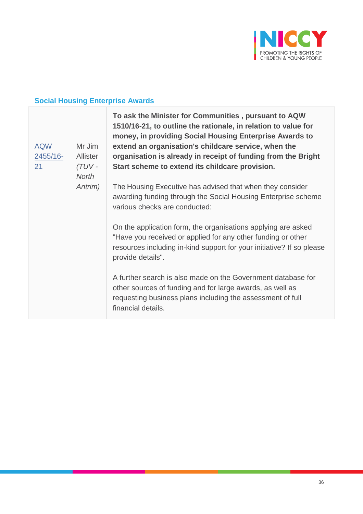

# **Social Housing Enterprise Awards**

| <b>AQW</b><br>$2455/16-$<br>21 | Mr Jim<br>Allister<br>$(TUV -$<br><b>North</b> | To ask the Minister for Communities, pursuant to AQW<br>1510/16-21, to outline the rationale, in relation to value for<br>money, in providing Social Housing Enterprise Awards to<br>extend an organisation's childcare service, when the<br>organisation is already in receipt of funding from the Bright<br>Start scheme to extend its childcare provision. |
|--------------------------------|------------------------------------------------|---------------------------------------------------------------------------------------------------------------------------------------------------------------------------------------------------------------------------------------------------------------------------------------------------------------------------------------------------------------|
|                                | Antrim)                                        | The Housing Executive has advised that when they consider<br>awarding funding through the Social Housing Enterprise scheme<br>various checks are conducted:                                                                                                                                                                                                   |
|                                |                                                | On the application form, the organisations applying are asked<br>"Have you received or applied for any other funding or other<br>resources including in-kind support for your initiative? If so please<br>provide details".                                                                                                                                   |
|                                |                                                | A further search is also made on the Government database for<br>other sources of funding and for large awards, as well as<br>requesting business plans including the assessment of full<br>financial details.                                                                                                                                                 |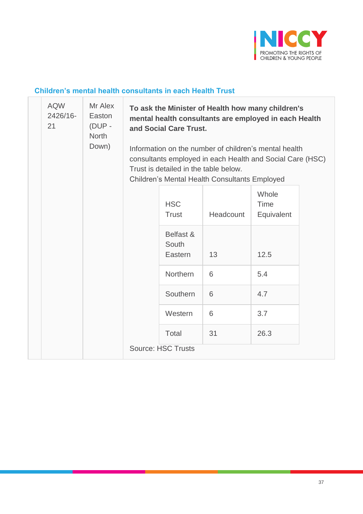

#### **Children's mental health consultants in each Health Trust**

| <b>AQW</b><br>2426/16-<br>21 | Mr Alex<br>Easton<br>$(DUP -$<br><b>North</b><br>Down) | To ask the Minister of Health how many children's<br>mental health consultants are employed in each Health<br>and Social Care Trust. |                                                                                                                                                                                                              |           |                                    |  |  |
|------------------------------|--------------------------------------------------------|--------------------------------------------------------------------------------------------------------------------------------------|--------------------------------------------------------------------------------------------------------------------------------------------------------------------------------------------------------------|-----------|------------------------------------|--|--|
|                              |                                                        |                                                                                                                                      | Information on the number of children's mental health<br>consultants employed in each Health and Social Care (HSC)<br>Trust is detailed in the table below.<br>Children's Mental Health Consultants Employed |           |                                    |  |  |
|                              |                                                        |                                                                                                                                      | <b>HSC</b><br><b>Trust</b>                                                                                                                                                                                   | Headcount | Whole<br><b>Time</b><br>Equivalent |  |  |
|                              |                                                        |                                                                                                                                      | Belfast &<br>South<br>Eastern                                                                                                                                                                                | 13        | 12.5                               |  |  |
|                              |                                                        |                                                                                                                                      | Northern                                                                                                                                                                                                     | 6         | 5.4                                |  |  |
|                              |                                                        |                                                                                                                                      | Southern                                                                                                                                                                                                     | 6         | 4.7                                |  |  |
|                              |                                                        |                                                                                                                                      | Western                                                                                                                                                                                                      | 6         | 3.7                                |  |  |
|                              |                                                        |                                                                                                                                      | Total                                                                                                                                                                                                        | 31        | 26.3                               |  |  |
|                              |                                                        |                                                                                                                                      | <b>Source: HSC Trusts</b>                                                                                                                                                                                    |           |                                    |  |  |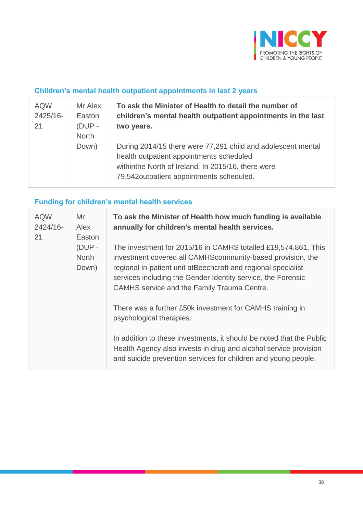

### **Children's mental health outpatient appointments in last 2 years**

| <b>AQW</b><br>2425/16-<br>21 | Mr Alex<br>Easton<br>$(DUP -$<br><b>North</b> | To ask the Minister of Health to detail the number of<br>children's mental health outpatient appointments in the last<br>two years.                                                                        |
|------------------------------|-----------------------------------------------|------------------------------------------------------------------------------------------------------------------------------------------------------------------------------------------------------------|
|                              | Down)                                         | During 2014/15 there were 77,291 child and adolescent mental<br>health outpatient appointments scheduled<br>withinthe North of Ireland. In 2015/16, there were<br>79,542outpatient appointments scheduled. |

# **Funding for children's mental health services**

| <b>AQW</b><br>2424/16-<br>21 | Mr<br>Alex<br>Easton            | To ask the Minister of Health how much funding is available<br>annually for children's mental health services.                                                                                                                                                                                               |
|------------------------------|---------------------------------|--------------------------------------------------------------------------------------------------------------------------------------------------------------------------------------------------------------------------------------------------------------------------------------------------------------|
|                              | (DUP -<br><b>North</b><br>Down) | The investment for 2015/16 in CAMHS totalled £19,574,861. This<br>investment covered all CAMHScommunity-based provision, the<br>regional in-patient unit atBeechcroft and regional specialist<br>services including the Gender Identity service, the Forensic<br>CAMHS service and the Family Trauma Centre. |
|                              |                                 | There was a further £50k investment for CAMHS training in<br>psychological therapies.                                                                                                                                                                                                                        |
|                              |                                 | In addition to these investments, it should be noted that the Public<br>Health Agency also invests in drug and alcohol service provision<br>and suicide prevention services for children and young people.                                                                                                   |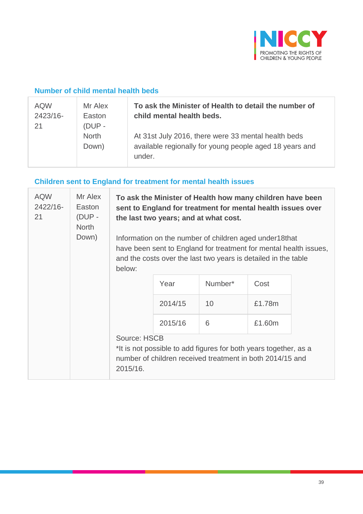

#### **Number of child mental health beds**

| <b>AQW</b><br>2423/16-<br>21 | Mr Alex<br>Easton<br>$(DUP -$ | To ask the Minister of Health to detail the number of<br>child mental health beds.                                       |
|------------------------------|-------------------------------|--------------------------------------------------------------------------------------------------------------------------|
|                              | <b>North</b><br>Down)         | At 31st July 2016, there were 33 mental health beds<br>available regionally for young people aged 18 years and<br>under. |

# **Children sent to England for treatment for mental health issues**

| <b>AQW</b><br>2422/16-<br>21 | Mr Alex<br>Easton<br>(DUP -<br><b>North</b><br>Down) | To ask the Minister of Health how many children have been<br>sent to England for treatment for mental health issues over<br>the last two years; and at what cost.<br>Information on the number of children aged under18that<br>have been sent to England for treatment for mental health issues,<br>and the costs over the last two years is detailed in the table<br>below: |         |         |        |  |
|------------------------------|------------------------------------------------------|------------------------------------------------------------------------------------------------------------------------------------------------------------------------------------------------------------------------------------------------------------------------------------------------------------------------------------------------------------------------------|---------|---------|--------|--|
|                              |                                                      |                                                                                                                                                                                                                                                                                                                                                                              | Year    | Number* | Cost   |  |
|                              |                                                      |                                                                                                                                                                                                                                                                                                                                                                              | 2014/15 | 10      | £1.78m |  |
|                              |                                                      |                                                                                                                                                                                                                                                                                                                                                                              | 2015/16 | 6       | £1.60m |  |
|                              |                                                      | <b>Source: HSCB</b><br>*It is not possible to add figures for both years together, as a<br>number of children received treatment in both 2014/15 and<br>2015/16.                                                                                                                                                                                                             |         |         |        |  |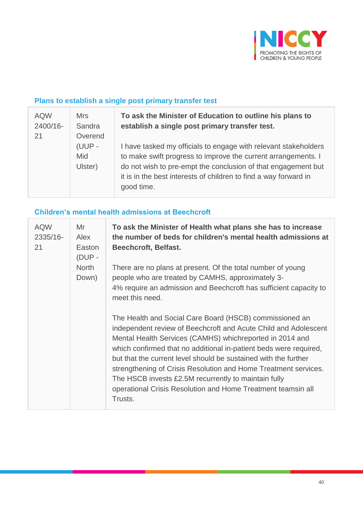

### **Plans to establish a single post primary transfer test**

| <b>AQW</b><br>2400/16-<br>21 | <b>Mrs</b><br>Sandra<br>Overend | To ask the Minister of Education to outline his plans to<br>establish a single post primary transfer test.                                                                                                                                                                          |
|------------------------------|---------------------------------|-------------------------------------------------------------------------------------------------------------------------------------------------------------------------------------------------------------------------------------------------------------------------------------|
|                              | (UUP -<br>Mid<br>Ulster)        | I have tasked my officials to engage with relevant stakeholders<br>to make swift progress to improve the current arrangements. I<br>do not wish to pre-empt the conclusion of that engagement but<br>it is in the best interests of children to find a way forward in<br>good time. |

### **Children's mental health admissions at Beechcroft**

| <b>AQW</b><br>2335/16-<br>21 | Mr<br>Alex<br>Easton<br>(DUP - | To ask the Minister of Health what plans she has to increase<br>the number of beds for children's mental health admissions at<br><b>Beechcroft, Belfast.</b>                                                                                                                                                                                                                                                                                                                                                                         |
|------------------------------|--------------------------------|--------------------------------------------------------------------------------------------------------------------------------------------------------------------------------------------------------------------------------------------------------------------------------------------------------------------------------------------------------------------------------------------------------------------------------------------------------------------------------------------------------------------------------------|
| <b>North</b>                 | Down)                          | There are no plans at present. Of the total number of young<br>people who are treated by CAMHS, approximately 3-<br>4% require an admission and Beechcroft has sufficient capacity to<br>meet this need.                                                                                                                                                                                                                                                                                                                             |
|                              |                                | The Health and Social Care Board (HSCB) commissioned an<br>independent review of Beechcroft and Acute Child and Adolescent<br>Mental Health Services (CAMHS) whichreported in 2014 and<br>which confirmed that no additional in-patient beds were required,<br>but that the current level should be sustained with the further<br>strengthening of Crisis Resolution and Home Treatment services.<br>The HSCB invests £2.5M recurrently to maintain fully<br>operational Crisis Resolution and Home Treatment teamsin all<br>Trusts. |